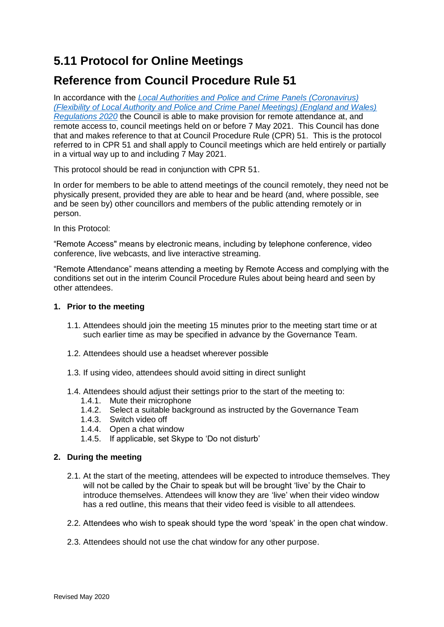# **5.11 Protocol for Online Meetings**

## **Reference from Council Procedure Rule 51**

In accordance with the *Local Authorities and [Police and Crime Panels \(Coronavirus\)](https://www.legislation.gov.uk/uksi/2020/392/made)  [\(Flexibility of Local Authority and Police and Crime Panel Meetings\) \(England and Wales\)](https://www.legislation.gov.uk/uksi/2020/392/made)  [Regulations 2020](https://www.legislation.gov.uk/uksi/2020/392/made)* the Council is able to make provision for remote attendance at, and remote access to, council meetings held on or before 7 May 2021. This Council has done that and makes reference to that at Council Procedure Rule (CPR) 51. This is the protocol referred to in CPR 51 and shall apply to Council meetings which are held entirely or partially in a virtual way up to and including 7 May 2021.

This protocol should be read in conjunction with CPR 51.

In order for members to be able to attend meetings of the council remotely, they need not be physically present, provided they are able to hear and be heard (and, where possible, see and be seen by) other councillors and members of the public attending remotely or in person.

In this Protocol:

"Remote Access" means by electronic means, including by telephone conference, video conference, live webcasts, and live interactive streaming.

"Remote Attendance" means attending a meeting by Remote Access and complying with the conditions set out in the interim Council Procedure Rules about being heard and seen by other attendees.

## **1. Prior to the meeting**

- 1.1. Attendees should join the meeting 15 minutes prior to the meeting start time or at such earlier time as may be specified in advance by the Governance Team.
- 1.2. Attendees should use a headset wherever possible
- 1.3. If using video, attendees should avoid sitting in direct sunlight
- 1.4. Attendees should adjust their settings prior to the start of the meeting to:
	- 1.4.1. Mute their microphone
	- 1.4.2. Select a suitable background as instructed by the Governance Team
	- 1.4.3. Switch video off
	- 1.4.4. Open a chat window
	- 1.4.5. If applicable, set Skype to 'Do not disturb'

## **2. During the meeting**

- 2.1. At the start of the meeting, attendees will be expected to introduce themselves. They will not be called by the Chair to speak but will be brought 'live' by the Chair to introduce themselves. Attendees will know they are 'live' when their video window has a red outline, this means that their video feed is visible to all attendees.
- 2.2. Attendees who wish to speak should type the word 'speak' in the open chat window.
- 2.3. Attendees should not use the chat window for any other purpose.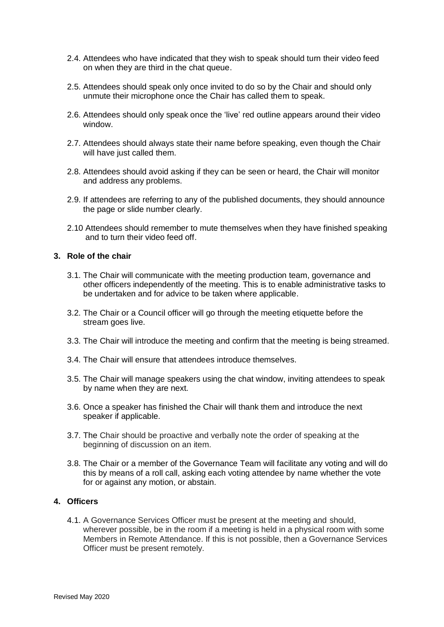- 2.4. Attendees who have indicated that they wish to speak should turn their video feed on when they are third in the chat queue.
- 2.5. Attendees should speak only once invited to do so by the Chair and should only unmute their microphone once the Chair has called them to speak.
- 2.6. Attendees should only speak once the 'live' red outline appears around their video window.
- 2.7. Attendees should always state their name before speaking, even though the Chair will have just called them.
- 2.8. Attendees should avoid asking if they can be seen or heard, the Chair will monitor and address any problems.
- 2.9. If attendees are referring to any of the published documents, they should announce the page or slide number clearly.
- 2.10 Attendees should remember to mute themselves when they have finished speaking and to turn their video feed off.

#### **3. Role of the chair**

- 3.1. The Chair will communicate with the meeting production team, governance and other officers independently of the meeting. This is to enable administrative tasks to be undertaken and for advice to be taken where applicable.
- 3.2. The Chair or a Council officer will go through the meeting etiquette before the stream goes live.
- 3.3. The Chair will introduce the meeting and confirm that the meeting is being streamed.
- 3.4. The Chair will ensure that attendees introduce themselves.
- 3.5. The Chair will manage speakers using the chat window, inviting attendees to speak by name when they are next.
- 3.6. Once a speaker has finished the Chair will thank them and introduce the next speaker if applicable.
- 3.7. The Chair should be proactive and verbally note the order of speaking at the beginning of discussion on an item.
- 3.8. The Chair or a member of the Governance Team will facilitate any voting and will do this by means of a roll call, asking each voting attendee by name whether the vote for or against any motion, or abstain.

#### **4. Officers**

4.1. A Governance Services Officer must be present at the meeting and should, wherever possible, be in the room if a meeting is held in a physical room with some Members in Remote Attendance. If this is not possible, then a Governance Services Officer must be present remotely.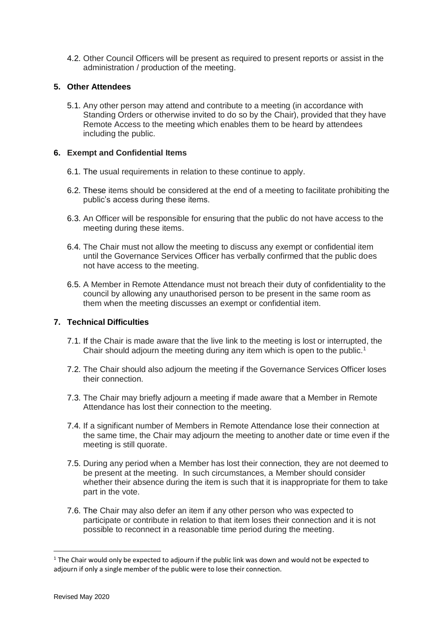4.2. Other Council Officers will be present as required to present reports or assist in the administration / production of the meeting.

## **5. Other Attendees**

5.1. Any other person may attend and contribute to a meeting (in accordance with Standing Orders or otherwise invited to do so by the Chair), provided that they have Remote Access to the meeting which enables them to be heard by attendees including the public.

#### **6. Exempt and Confidential Items**

- 6.1. The usual requirements in relation to these continue to apply.
- 6.2. These items should be considered at the end of a meeting to facilitate prohibiting the public's access during these items.
- 6.3. An Officer will be responsible for ensuring that the public do not have access to the meeting during these items.
- 6.4. The Chair must not allow the meeting to discuss any exempt or confidential item until the Governance Services Officer has verbally confirmed that the public does not have access to the meeting.
- 6.5. A Member in Remote Attendance must not breach their duty of confidentiality to the council by allowing any unauthorised person to be present in the same room as them when the meeting discusses an exempt or confidential item.

## **7. Technical Difficulties**

- 7.1. If the Chair is made aware that the live link to the meeting is lost or interrupted, the Chair should adjourn the meeting during any item which is open to the public.<sup>1</sup>
- 7.2. The Chair should also adjourn the meeting if the Governance Services Officer loses their connection.
- 7.3. The Chair may briefly adjourn a meeting if made aware that a Member in Remote Attendance has lost their connection to the meeting.
- 7.4. If a significant number of Members in Remote Attendance lose their connection at the same time, the Chair may adjourn the meeting to another date or time even if the meeting is still quorate.
- 7.5. During any period when a Member has lost their connection, they are not deemed to be present at the meeting. In such circumstances, a Member should consider whether their absence during the item is such that it is inappropriate for them to take part in the vote.
- 7.6. The Chair may also defer an item if any other person who was expected to participate or contribute in relation to that item loses their connection and it is not possible to reconnect in a reasonable time period during the meeting.

**.** 

 $1$  The Chair would only be expected to adiourn if the public link was down and would not be expected to adjourn if only a single member of the public were to lose their connection.